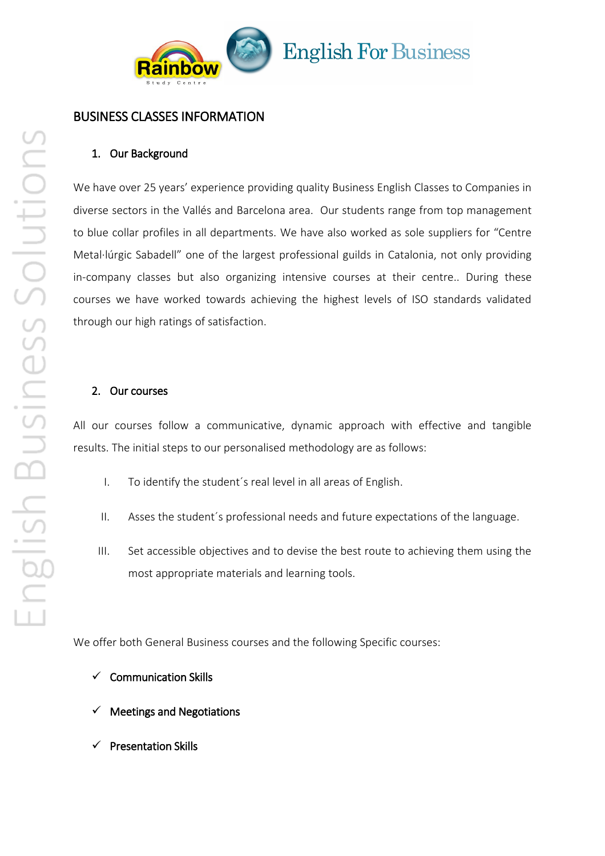

# **English For Business**

### BUSINESS CLASSES INFORMATION

#### 1. Our Background

We have over 25 years' experience providing quality Business English Classes to Companies in diverse sectors in the Vallés and Barcelona area. Our students range from top management to blue collar profiles in all departments. We have also worked as sole suppliers for "Centre Metal·lúrgic Sabadell" one of the largest professional guilds in Catalonia, not only providing in-company classes but also organizing intensive courses at their centre.. During these courses we have worked towards achieving the highest levels of ISO standards validated through our high ratings of satisfaction.

#### 2. Our courses

All our courses follow a communicative, dynamic approach with effective and tangible results. The initial steps to our personalised methodology are as follows:

- I. To identify the student´s real level in all areas of English.
- II. Asses the student´s professional needs and future expectations of the language.
- III. Set accessible objectives and to devise the best route to achieving them using the most appropriate materials and learning tools.

We offer both General Business courses and the following Specific courses:

- $\checkmark$  Communication Skills
- Meetings and Negotiations
- Presentation Skills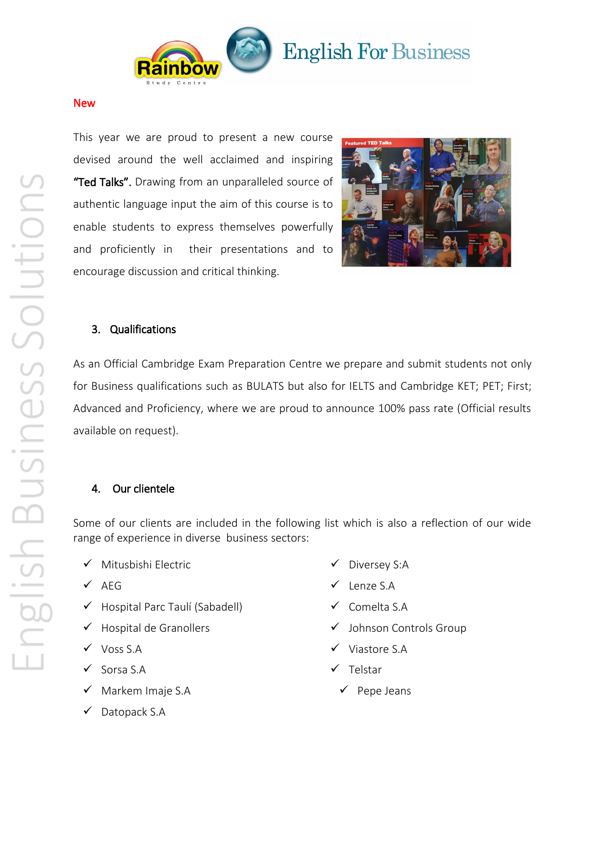

# **English For Business**

#### New

This year we are proud to present a new course devised around the well acclaimed and inspiring "Ted Talks". Drawing from an unparalleled source of authentic language input the aim of this course is to enable students to express themselves powerfully and proficiently in their presentations and to encourage discussion and critical thinking.



## 3. Qualifications

As an Official Cambridge Exam Preparation Centre we prepare and submit students not only for Business qualifications such as BULATS but also for IELTS and Cambridge KET; PET; First; Advanced and Proficiency, where we are proud to announce 100% pass rate (Official results available on request).

### 4. Our clientele

Some of our clients are included in the following list which is also a reflection of our wide range of experience in diverse business sectors:

- $\checkmark$  Mitusbishi Electric
- $\checkmark$  AEG
- $\checkmark$  Hospital Parc Taulí (Sabadell)
- $\checkmark$  Hospital de Granollers
- Voss S.A
- $\checkmark$  Sorsa S.A
- $\checkmark$  Markem Imaje S.A
- $\checkmark$  Datopack S.A
- $\checkmark$  Diversey S:A
- $\checkmark$  Lenze S.A
- $\checkmark$  Comelta S.A
- Johnson Controls Group
- $\checkmark$  Viastore S.A
- $\checkmark$  Telstar
	- $\checkmark$  Pepe Jeans